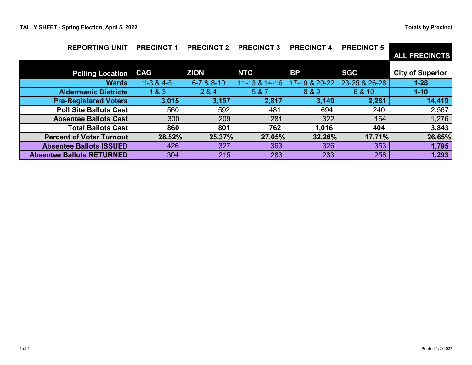| <b>REPORTING UNIT</b>            | <b>PRECINCT 1</b> | <b>PRECINCT 2</b> | <b>PRECINCT 3</b> | <b>PRECINCT 4</b> | <b>PRECINCT 5</b> | <b>ALL PRECINCTS</b>    |
|----------------------------------|-------------------|-------------------|-------------------|-------------------|-------------------|-------------------------|
| <b>Polling Location</b>          | <b>CAG</b>        | <b>ZION</b>       | <b>NTC</b>        | <b>BP</b>         | <b>SGC</b>        | <b>City of Superior</b> |
| <b>Wards</b>                     | $1-3 & 4-5$       | 6-7 & 8-10        | 11-13 & 14-16     | 17-19 & 20-22     | 23-25 & 26-28     | $1 - 28$                |
| <b>Aldermanic Districts</b>      | 1 & 3             | 2 & 4             | 5 & 7             | 8 & 9             | 6 & 10            | $1 - 10$                |
| <b>Pre-Registered Voters</b>     | 3,015             | 3,157             | 2,817             | 3,149             | 2,281             | 14,419                  |
| <b>Poll Site Ballots Cast</b>    | 560               | 592               | 481               | 694               | 240               | 2,567                   |
| <b>Absentee Ballots Cast</b>     | 300               | 209               | 281               | 322               | 164               | 1,276                   |
| <b>Total Ballots Cast</b>        | 860               | 801               | 762               | 1,016             | 404               | 3,843                   |
| <b>Percent of Voter Turnout</b>  | 28.52%            | 25.37%            | 27.05%            | 32.26%            | 17.71%            | 26.65%                  |
| <b>Absentee Ballots ISSUED</b>   | 426               | 327               | 363               | 326               | 353               | 1,795                   |
| <b>Absentee Ballots RETURNED</b> | 304               | 215               | 283               | 233               | 258               | 1,293                   |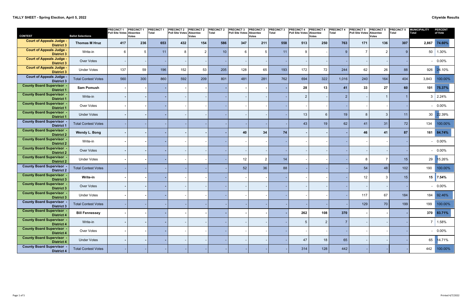| <b>CONTEST</b>                                        | <b>Ballot Selections</b>   | <b>PRECINCT1</b><br>Poll Site Votes Absentee | <b>PRECINCT 1</b><br><b>Votes</b> | <b>PRECINCT</b><br>Total | <b>PRECINCT 2</b><br><b>Poll Site Votes</b> | <b>PRECINCT 2</b><br><b>Absentee</b><br><b>Votes</b> | <b>PRECINCT 2</b><br>Total | <b>PRECINCT 3</b><br><b>Poll Site Votes</b> | <b>PRECINCT 3</b><br><b>Absentee</b><br><b>Votes</b> | <b>PRECINCT 3</b><br>Total | <b>PRECINCT 4</b><br>Poll Site Votes Absentee | <b>RECINCT 4</b><br><b>Votes</b> | <b>PRECINCT 4</b><br>Total | <b>PRECINCT 5</b><br>Poll Site Votes Absentee | <b>PRECINCT 5</b><br><b>Votes</b> | <b>PRECINCT 5</b><br><b>Total</b> | <b>MUNICIPALITY</b><br><b>Total</b> | <b>PERCENT</b><br>of Vote |
|-------------------------------------------------------|----------------------------|----------------------------------------------|-----------------------------------|--------------------------|---------------------------------------------|------------------------------------------------------|----------------------------|---------------------------------------------|------------------------------------------------------|----------------------------|-----------------------------------------------|----------------------------------|----------------------------|-----------------------------------------------|-----------------------------------|-----------------------------------|-------------------------------------|---------------------------|
| <b>Court of Appeals Judge -</b><br><b>District 3</b>  | <b>Thomas M Hruz</b>       | 417                                          | 236                               | 653                      | 432                                         | 154                                                  | 586                        | 347                                         | 211                                                  | 558                        | 513                                           | 250                              | 763                        | 171                                           | 136                               | 307                               | 2,867                               | 74.60%                    |
| <b>Court of Appeals Judge -</b><br><b>District 3</b>  | Write-in                   | $6\phantom{.}$                               | 5                                 | 11                       | 8                                           | $\overline{2}$                                       | 10                         | 6                                           | $5\phantom{.0}$                                      | 11                         | 9                                             |                                  | 9                          | $\overline{7}$                                | $\overline{2}$                    | $9^{\circ}$                       | 50                                  | 1.30%                     |
| <b>Court of Appeals Judge -</b><br><b>District 3</b>  | Over Votes                 |                                              |                                   |                          |                                             |                                                      |                            |                                             |                                                      |                            |                                               |                                  |                            |                                               |                                   |                                   |                                     | $-0.00\%$                 |
| <b>Court of Appeals Judge -</b><br><b>District 3</b>  | <b>Under Votes</b>         | 137                                          | 59                                | 196                      | 152                                         | 53                                                   | 205                        | 128                                         | 65                                                   | 193                        | 172                                           | 72                               | 244                        | 62                                            | 26                                | 88                                | 926                                 | 24.10%                    |
| <b>Court of Appeals Judge -</b><br><b>District 3</b>  | <b>Total Contest Votes</b> | 560                                          | 300                               | 860                      | 592                                         | 209                                                  | 801                        | 481                                         | 281                                                  | 762                        | 694                                           | 322                              | 1,016                      | 240                                           | 164                               | 404                               | 3,843                               | 100.00%                   |
| <b>County Board Supervisor</b><br><b>District 1</b>   | <b>Sam Pomush</b>          |                                              |                                   |                          |                                             |                                                      |                            |                                             |                                                      |                            | 28                                            | 13                               | 41                         | 33                                            | 27                                | 60                                | 101                                 | 75.37%                    |
| <b>County Board Supervisor</b><br><b>District 1</b>   | Write-in                   |                                              |                                   |                          |                                             |                                                      |                            |                                             |                                                      |                            | $\overline{2}$                                |                                  | -2                         |                                               |                                   |                                   | 3                                   | 2.24%                     |
| <b>County Board Supervisor</b><br><b>District 1</b>   | Over Votes                 |                                              |                                   |                          |                                             |                                                      |                            |                                             |                                                      |                            |                                               |                                  |                            |                                               |                                   |                                   |                                     | $-0.00\%$                 |
| <b>County Board Supervisor</b><br><b>District 1</b>   | <b>Under Votes</b>         |                                              |                                   |                          |                                             |                                                      |                            |                                             |                                                      |                            | 13                                            | 6                                | 19                         | -8                                            | -3                                | 11                                |                                     | 30 22.39%                 |
| <b>County Board Supervisor .</b><br><b>District 1</b> | <b>Total Contest Votes</b> |                                              |                                   |                          |                                             |                                                      |                            |                                             |                                                      |                            | 43                                            | 19                               | 62                         | 41                                            | 31                                | 72                                | 134                                 | 100.00%                   |
| <b>County Board Supervisor -</b><br><b>District 2</b> | Wendy L. Bong              |                                              |                                   |                          |                                             |                                                      |                            | 40                                          | 34                                                   | 74                         |                                               |                                  |                            | 46                                            | 41                                | 87                                |                                     | 161 84.74%                |
| <b>County Board Supervisor -</b><br><b>District 2</b> | Write-in                   |                                              |                                   |                          |                                             |                                                      |                            |                                             |                                                      |                            |                                               |                                  |                            |                                               |                                   |                                   |                                     | $-0.00\%$                 |
| <b>County Board Supervisor .</b><br><b>District 2</b> | Over Votes                 |                                              |                                   |                          |                                             |                                                      |                            |                                             |                                                      |                            |                                               |                                  |                            |                                               |                                   |                                   |                                     | $-0.00\%$                 |
| <b>County Board Supervisor .</b><br><b>District 2</b> | <b>Under Votes</b>         |                                              |                                   |                          |                                             |                                                      |                            | 12                                          | $\overline{2}$                                       | 14                         |                                               |                                  |                            | 8                                             |                                   | 15                                | 29                                  | 15.26%                    |
| <b>County Board Supervisor</b><br><b>District 2</b>   | <b>Total Contest Votes</b> |                                              |                                   |                          |                                             |                                                      |                            | 52                                          | 36                                                   | 88                         |                                               |                                  |                            | 54                                            | 48                                | 102                               | 190                                 | 100.00%                   |
| <b>County Board Supervisor .</b><br><b>District 3</b> | Write-in                   |                                              |                                   |                          |                                             |                                                      |                            |                                             |                                                      |                            |                                               |                                  |                            | 12                                            |                                   | 15                                | 15                                  | 7.54%                     |
| <b>County Board Supervisor</b><br><b>District 3</b>   | Over Votes                 |                                              |                                   |                          |                                             |                                                      |                            |                                             |                                                      |                            |                                               |                                  |                            |                                               |                                   |                                   |                                     | $-0.00\%$                 |
| <b>County Board Supervisor -</b><br><b>District 3</b> | <b>Under Votes</b>         |                                              |                                   |                          |                                             |                                                      |                            |                                             |                                                      |                            |                                               |                                  |                            | 117                                           | 67                                | 184                               | 184                                 | 92.46%                    |
| <b>County Board Supervisor -</b><br><b>District 3</b> | <b>Total Contest Votes</b> |                                              |                                   |                          |                                             |                                                      |                            |                                             |                                                      |                            |                                               |                                  |                            | 129                                           | 70                                | 199                               | 199                                 | 100.00%                   |
| <b>County Board Supervisor -</b><br><b>District 4</b> | <b>Bill Fennessey</b>      | $\blacksquare$                               |                                   |                          |                                             |                                                      |                            |                                             |                                                      |                            | 262                                           | 108                              | 370                        |                                               |                                   |                                   |                                     | 370 83.71%                |
| <b>County Board Supervisor -</b><br><b>District 4</b> | Write-in                   | $\sim$                                       |                                   |                          |                                             |                                                      |                            |                                             |                                                      |                            | 5                                             | $\overline{2}$                   |                            |                                               |                                   |                                   |                                     | 1.58%                     |
| <b>County Board Supervisor -</b><br><b>District 4</b> | Over Votes                 |                                              |                                   |                          |                                             |                                                      |                            |                                             |                                                      |                            |                                               |                                  |                            |                                               |                                   |                                   |                                     | $-0.00\%$                 |
| <b>County Board Supervisor -</b><br><b>District 4</b> | <b>Under Votes</b>         |                                              |                                   |                          |                                             |                                                      |                            |                                             |                                                      |                            | 47                                            | 18                               | 65                         |                                               |                                   |                                   | 65                                  | 14.71%                    |
| <b>County Board Supervisor -</b><br><b>District 4</b> | <b>Total Contest Votes</b> |                                              |                                   |                          |                                             |                                                      |                            |                                             |                                                      |                            | 314                                           | 128                              | 442                        |                                               |                                   |                                   | 442                                 | 100.00%                   |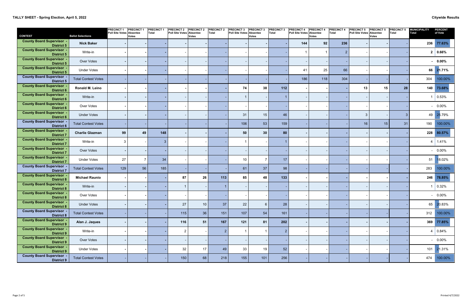| <b>CONTEST</b>                                        | <b>Ballot Selections</b>   | <b>PRECINCT1</b><br>Poll Site Votes Absentee | <b>PRECINCT1</b><br><b>Votes</b> | <b>PRECINCT1</b><br>Total | <b>PRECINCT 2</b><br>Poll Site Votes Absentee | <b>PRECINCT 2</b><br>Votes | <b>PRECINCT 2</b><br>Total | <b>PRECINCT 3</b><br><b>Poll Site Votes</b> | <b>PRECINCT 3</b><br><b>Absentee</b><br><b>Votes</b> | <b>PRECINCT 3</b><br><b>Total</b> | <b>PRECINCT 4</b><br>Poll Site Votes Absentee | <b>PRECINCT 4</b><br>Votes | <b>PRECINCT 4</b><br>Total | <b>PRECINCT 5</b><br>Poll Site Votes Absentee | <b>PRECINCT 5</b><br><b>Votes</b> | <b>PRECINCT 5</b><br><b>Total</b> | <b>MUNICIPALITY</b><br><b>Total</b> | <b>PERCENT</b><br>of Vote |
|-------------------------------------------------------|----------------------------|----------------------------------------------|----------------------------------|---------------------------|-----------------------------------------------|----------------------------|----------------------------|---------------------------------------------|------------------------------------------------------|-----------------------------------|-----------------------------------------------|----------------------------|----------------------------|-----------------------------------------------|-----------------------------------|-----------------------------------|-------------------------------------|---------------------------|
| <b>County Board Supervisor</b><br><b>District 5</b>   | <b>Nick Baker</b>          |                                              |                                  |                           |                                               |                            |                            |                                             |                                                      |                                   | 144                                           | 92                         | 236                        |                                               |                                   |                                   | 236                                 | 77.63%                    |
| <b>County Board Supervisor</b><br><b>District 5</b>   | Write-in                   |                                              |                                  |                           |                                               |                            |                            |                                             |                                                      |                                   |                                               |                            | $\overline{2}$             |                                               |                                   |                                   |                                     | 2   0.66%                 |
| <b>County Board Supervisor</b><br><b>District 5</b>   | Over Votes                 |                                              |                                  |                           |                                               |                            |                            |                                             |                                                      |                                   |                                               |                            |                            |                                               |                                   |                                   |                                     | $0.00\%$                  |
| <b>County Board Supervisor</b><br><b>District 5</b>   | <b>Under Votes</b>         |                                              |                                  |                           |                                               |                            |                            |                                             |                                                      |                                   | 41                                            | 25                         | 66                         |                                               |                                   |                                   | 66                                  | 21.71%                    |
| <b>County Board Supervisor</b><br><b>District 5</b>   | <b>Total Contest Votes</b> |                                              |                                  |                           |                                               |                            |                            |                                             |                                                      |                                   | 186                                           | 118                        | 304                        |                                               |                                   |                                   | 304                                 | 100.00%                   |
| <b>County Board Supervisor</b><br><b>District 6</b>   | Ronald M. Leino            |                                              |                                  |                           |                                               |                            |                            | 74                                          | 38                                                   | 112                               |                                               |                            |                            | 13                                            | 15                                | 28                                | 140                                 | 73.68%                    |
| <b>County Board Supervisor</b><br><b>District 6</b>   | Write-in                   |                                              |                                  |                           |                                               |                            |                            |                                             |                                                      |                                   |                                               |                            |                            |                                               |                                   |                                   |                                     | 0.53%                     |
| <b>County Board Supervisor</b><br><b>District 6</b>   | Over Votes                 |                                              |                                  |                           |                                               |                            |                            |                                             |                                                      |                                   |                                               |                            |                            |                                               |                                   |                                   |                                     | $-0.00\%$                 |
| <b>County Board Supervisor</b><br><b>District 6</b>   | <b>Under Votes</b>         |                                              |                                  |                           |                                               |                            |                            | 31                                          | 15 <sub>15</sub>                                     | 46                                |                                               |                            |                            | -3                                            |                                   | 3                                 |                                     | 49 25.79%                 |
| <b>County Board Supervisor</b><br><b>District 6</b>   | <b>Total Contest Votes</b> |                                              |                                  |                           |                                               |                            |                            | 106                                         | 53                                                   | 159                               |                                               |                            |                            | 16                                            | 15 <sub>15</sub>                  | 31                                | 190                                 | 100.00%                   |
| <b>County Board Supervisor</b><br><b>District 7</b>   | <b>Charlie Glazman</b>     | 99                                           | 49                               | 148                       |                                               |                            |                            | 50                                          | 30 <sub>o</sub>                                      | 80                                |                                               |                            |                            |                                               |                                   |                                   | 228                                 | 80.57%                    |
| <b>County Board Supervisor</b><br><b>District 7</b>   | Write-in                   | 3                                            |                                  |                           |                                               |                            |                            |                                             |                                                      |                                   |                                               |                            |                            |                                               |                                   |                                   |                                     | 1.41%                     |
| <b>County Board Supervisor</b><br><b>District 7</b>   | Over Votes                 |                                              |                                  |                           |                                               |                            |                            |                                             |                                                      |                                   |                                               |                            |                            |                                               |                                   |                                   |                                     | $-0.00\%$                 |
| <b>County Board Supervisor</b><br><b>District 7</b>   | <b>Under Votes</b>         | 27                                           |                                  | 34                        |                                               |                            |                            | 10                                          | $\overline{7}$                                       | 17                                |                                               |                            |                            |                                               |                                   |                                   | 51                                  | 18.02%                    |
| <b>County Board Supervisor</b><br><b>District 7</b>   | <b>Total Contest Votes</b> | 129                                          | 56                               | 185                       |                                               |                            |                            | 61                                          | 37                                                   | 98                                |                                               |                            |                            |                                               |                                   |                                   | 283                                 | 100.00%                   |
| <b>County Board Supervisor</b><br><b>District 8</b>   | <b>Michael Raunio</b>      |                                              |                                  |                           | 87                                            | 26                         | 113                        | 85                                          | 48                                                   | 133                               |                                               |                            |                            |                                               |                                   |                                   |                                     | 246 78.85%                |
| <b>County Board Supervisor</b><br><b>District 8</b>   | Write-in                   |                                              |                                  |                           |                                               |                            |                            |                                             |                                                      |                                   |                                               |                            |                            |                                               |                                   |                                   |                                     | 0.32%                     |
| <b>County Board Supervisor</b><br><b>District 8</b>   | Over Votes                 |                                              |                                  |                           |                                               |                            |                            |                                             |                                                      |                                   |                                               |                            |                            |                                               |                                   |                                   |                                     | $-0.00\%$                 |
| <b>County Board Supervisor -</b><br><b>District 8</b> | <b>Under Votes</b>         | $\blacksquare$                               |                                  |                           | $27\,$                                        | 10 <sup>1</sup>            | 37                         | 22                                          | $6\overline{6}$                                      | 28                                |                                               |                            |                            |                                               |                                   |                                   |                                     | 65 20.83%                 |
| <b>County Board Supervisor -</b><br><b>District 8</b> | <b>Total Contest Votes</b> |                                              |                                  |                           | $115$                                         | 36                         | 151                        | 107                                         | 54                                                   | 161                               |                                               |                            |                            |                                               |                                   |                                   | 312                                 | 100.00%                   |
| <b>County Board Supervisor -</b><br><b>District 9</b> | Alan J. Jaques             | $\sim$                                       |                                  |                           | 116                                           | 51                         | 167                        | 121                                         | 81                                                   | 202                               |                                               |                            |                            |                                               |                                   |                                   |                                     | 369 77.85%                |
| <b>County Board Supervisor -</b><br><b>District 9</b> | Write-in                   |                                              |                                  |                           | $\overline{2}$                                |                            | $\overline{2}$             |                                             | $\overline{1}$                                       | $\overline{2}$                    |                                               |                            |                            |                                               |                                   |                                   |                                     | $4 \mid 0.84\%$           |
| <b>County Board Supervisor -</b><br><b>District 9</b> | Over Votes                 |                                              |                                  |                           |                                               |                            |                            |                                             |                                                      |                                   |                                               |                            |                            |                                               |                                   |                                   |                                     | $-0.00\%$                 |
| <b>County Board Supervisor -</b><br><b>District 9</b> | <b>Under Votes</b>         |                                              |                                  |                           | $32\,$                                        | 17                         | 49                         | 33                                          | 19                                                   | 52                                |                                               |                            |                            |                                               |                                   |                                   | 101                                 | 21.31%                    |
| <b>County Board Supervisor -</b><br><b>District 9</b> | <b>Total Contest Votes</b> |                                              |                                  |                           | 150                                           | 68                         | 218                        | 155                                         | 101                                                  | 256                               |                                               |                            |                            |                                               |                                   |                                   | 474                                 | 100.00%                   |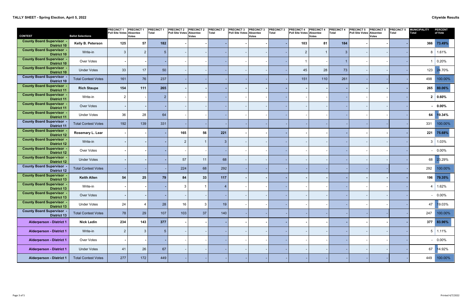| <b>CONTEST</b>                                         | <b>Ballot Selections</b>   | <b>PRECINCT1</b><br>Poll Site Votes Absentee | <b>PRECINCT 1</b><br><b>Votes</b> | <b>PRECINCT1</b><br><b>Total</b> | <b>PRECINCT 2</b><br>Poll Site Votes Absentee | <b>PRECINCT 2</b><br><b>Votes</b> | <b>PRECINCT 2</b><br>Total | <b>PRECINCT 3</b><br>Poll Site Votes | <b>PRECINCT 3</b><br><b>Absentee</b><br>Votes | <b>PRECINCT 3</b><br><b>Total</b> | <b>PRECINCT 4</b><br>Poll Site Votes Absentee | <b>PRECINCT 4</b><br><b>Votes</b> | <b>PRECINCT 4</b><br><b>Total</b> | <b>PRECINCT 5</b><br><b>Poll Site Votes</b> | <b>PRECINCT 5</b><br><b>Absentee</b><br><b>Votes</b> | <b>PRECINCT 5</b><br><b>Total</b> | <b>MUNICIPALITY</b><br><b>Total</b> | <b>PERCENT</b><br>of Vote |
|--------------------------------------------------------|----------------------------|----------------------------------------------|-----------------------------------|----------------------------------|-----------------------------------------------|-----------------------------------|----------------------------|--------------------------------------|-----------------------------------------------|-----------------------------------|-----------------------------------------------|-----------------------------------|-----------------------------------|---------------------------------------------|------------------------------------------------------|-----------------------------------|-------------------------------------|---------------------------|
| <b>County Board Supervisor</b><br><b>District 10</b>   | Kelly B. Peterson          | 125                                          | 57                                | 182                              |                                               |                                   |                            |                                      |                                               |                                   | 103                                           | 81                                | 184                               |                                             |                                                      |                                   | 366                                 | 73.49%                    |
| <b>County Board Supervisor</b><br><b>District 10</b>   | Write-in                   | 3                                            | $\overline{2}$                    |                                  |                                               |                                   |                            |                                      |                                               |                                   | $\overline{2}$                                |                                   | 3                                 |                                             |                                                      |                                   |                                     | 1.61%                     |
| <b>County Board Supervisor</b><br><b>District 10</b>   | Over Votes                 |                                              |                                   |                                  |                                               |                                   |                            |                                      |                                               |                                   |                                               |                                   |                                   |                                             |                                                      |                                   |                                     | 0.20%                     |
| <b>County Board Supervisor</b><br><b>District 10</b>   | <b>Under Votes</b>         | 33                                           | 17                                | 50                               |                                               |                                   |                            |                                      |                                               |                                   | 45                                            | 28                                | 73                                |                                             |                                                      |                                   | 123                                 | 24.70%                    |
| <b>County Board Supervisor</b><br><b>District 10</b>   | <b>Total Contest Votes</b> | 161                                          | 76                                | 237                              |                                               |                                   |                            |                                      |                                               |                                   | 151                                           | 110                               | 261                               |                                             |                                                      |                                   | 498                                 | 100.00%                   |
| <b>County Board Supervisor</b><br><b>District 11</b>   | <b>Rich Staupe</b>         | 154                                          | 111                               | 265                              |                                               |                                   |                            |                                      |                                               |                                   |                                               |                                   |                                   |                                             |                                                      |                                   | 265                                 | 80.06%                    |
| <b>County Board Supervisor</b><br><b>District 11</b>   | Write-in                   | $\boldsymbol{2}$                             |                                   |                                  |                                               |                                   |                            |                                      |                                               |                                   |                                               |                                   |                                   |                                             |                                                      |                                   |                                     | $2   0.60\%$              |
| <b>County Board Supervisor</b><br><b>District 11</b>   | Over Votes                 | $\overline{\phantom{a}}$                     |                                   |                                  |                                               |                                   |                            |                                      |                                               |                                   |                                               |                                   |                                   |                                             |                                                      |                                   |                                     | $-0.00\%$                 |
| <b>County Board Supervisor</b><br><b>District 11</b>   | <b>Under Votes</b>         | 36                                           | 28                                | 64                               |                                               |                                   |                            |                                      |                                               |                                   |                                               |                                   |                                   |                                             |                                                      |                                   | 64                                  | 19.34%                    |
| <b>County Board Supervisor</b><br><b>District 11</b>   | <b>Total Contest Votes</b> | 192                                          | 139                               | 331                              |                                               |                                   |                            |                                      |                                               |                                   |                                               |                                   |                                   |                                             |                                                      |                                   | 331                                 | 100.00%                   |
| <b>County Board Supervisor</b><br><b>District 12</b>   | Rosemary L. Lear           | $\sim$                                       |                                   |                                  | 165                                           | 56                                | 221                        |                                      |                                               |                                   |                                               |                                   |                                   |                                             |                                                      |                                   | 221                                 | 75.68%                    |
| <b>County Board Supervisor</b><br><b>District 12</b>   | Write-in                   | $\overline{\phantom{a}}$                     |                                   |                                  | $\overline{2}$                                |                                   | $\mathbf{3}$               |                                      |                                               |                                   |                                               |                                   |                                   |                                             |                                                      |                                   |                                     | 1.03%                     |
| <b>County Board Supervisor</b><br><b>District 12</b>   | Over Votes                 |                                              |                                   |                                  |                                               |                                   |                            |                                      |                                               |                                   |                                               |                                   |                                   |                                             |                                                      |                                   |                                     | $-0.00\%$                 |
| <b>County Board Supervisor</b><br><b>District 12</b>   | <b>Under Votes</b>         |                                              |                                   |                                  | 57                                            | 11                                | 68                         |                                      |                                               |                                   |                                               |                                   |                                   |                                             |                                                      |                                   | 68                                  | 23.29%                    |
| <b>County Board Supervisor</b><br><b>District 12</b>   | <b>Total Contest Votes</b> |                                              |                                   |                                  | 224                                           | 68                                | 292                        |                                      |                                               |                                   |                                               |                                   |                                   |                                             |                                                      |                                   | 292                                 | 100.00%                   |
| <b>County Board Supervisor</b><br><b>District 13</b>   | <b>Keith Allen</b>         | 54                                           | 25                                | 79                               | 84                                            | 33                                | 117                        |                                      |                                               |                                   |                                               |                                   |                                   |                                             |                                                      |                                   | 196                                 | 79.35%                    |
| <b>County Board Supervisor</b><br><b>District 13</b>   | Write-in                   |                                              |                                   |                                  | 3                                             |                                   |                            |                                      |                                               |                                   |                                               |                                   |                                   |                                             |                                                      |                                   |                                     | 1.62%                     |
| <b>County Board Supervisor</b><br><b>District 13</b>   | Over Votes                 |                                              |                                   |                                  |                                               |                                   |                            |                                      |                                               |                                   |                                               |                                   |                                   |                                             |                                                      |                                   |                                     | $-0.00\%$                 |
| <b>County Board Supervisor -</b><br><b>District 13</b> | <b>Under Votes</b>         | 24                                           |                                   | 28                               | $16\,$                                        | 3                                 | 19                         |                                      |                                               |                                   |                                               |                                   |                                   |                                             |                                                      |                                   | 47                                  | 19.03%                    |
| <b>County Board Supervisor</b><br><b>District 13</b>   | <b>Total Contest Votes</b> | 78                                           | 29                                | 107                              | 103                                           | 37                                | 140                        |                                      |                                               |                                   |                                               |                                   |                                   |                                             |                                                      |                                   | 247                                 | 100.00%                   |
| <b>Alderperson - District 1</b>                        | <b>Nick Ledin</b>          | 234                                          | 143                               | 377                              |                                               |                                   |                            |                                      |                                               |                                   |                                               |                                   |                                   |                                             |                                                      |                                   |                                     | 377 83.96%                |
| <b>Alderperson - District 1</b>                        | Write-in                   | $\overline{c}$                               | 3                                 |                                  |                                               |                                   |                            |                                      |                                               |                                   |                                               |                                   |                                   |                                             |                                                      |                                   |                                     | $5 \mid 1.11\%$           |
| <b>Alderperson - District 1</b>                        | Over Votes                 |                                              |                                   |                                  |                                               |                                   |                            |                                      |                                               |                                   |                                               |                                   |                                   |                                             |                                                      |                                   |                                     | $-0.00\%$                 |
| <b>Alderperson - District 1</b>                        | <b>Under Votes</b>         | 41                                           | 26                                | 67                               |                                               |                                   |                            |                                      |                                               |                                   |                                               |                                   |                                   |                                             |                                                      |                                   | 67                                  | 14.92%                    |
| <b>Alderperson - District 1</b>                        | <b>Total Contest Votes</b> | 277                                          | 172                               | 449                              |                                               |                                   |                            |                                      |                                               |                                   |                                               |                                   |                                   |                                             |                                                      |                                   | 449                                 | 100.00%                   |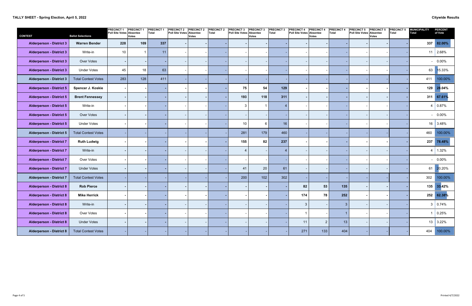## **TALLY SHEET - Spring Election, April 5, 2022 Citywide Results**

| <b>CONTEST</b>                  | <b>Ballot Selections</b>   | <b>PRECINCT 1</b><br>Poll Site Votes Absentee | <b>PRECINCT1</b><br><b>Votes</b> | <b>PRECINCT1</b><br>Total | <b>PRECINCT 2</b><br>Poll Site Votes Absentee | <b>PRECINCT 2</b><br><b>Votes</b> | <b>PRECINCT 2</b><br>Total | <b>PRECINCT 3</b><br>Poll Site Votes Absentee | <b>PRECINCT 3</b><br>Votes | <b>PRECINCT 3</b><br>Total | <b>PRECINCT 4</b><br>Poll Site Votes Absentee | <b>PRECINCT 4</b><br><b>Votes</b> | <b>PRECINCT 4</b><br><b>Total</b> | <b>PRECINCT 5</b><br>Poll Site Votes Absentee | <b>PRECINCT 5</b><br><b>Votes</b> | <b>PRECINCT 5</b><br>Total | <b>MUNICIPALITY</b><br><b>Total</b> | <b>PERCENT</b><br>of Vote |
|---------------------------------|----------------------------|-----------------------------------------------|----------------------------------|---------------------------|-----------------------------------------------|-----------------------------------|----------------------------|-----------------------------------------------|----------------------------|----------------------------|-----------------------------------------------|-----------------------------------|-----------------------------------|-----------------------------------------------|-----------------------------------|----------------------------|-------------------------------------|---------------------------|
| <b>Alderperson - District 3</b> | <b>Warren Bender</b>       | 228                                           | 109                              | 337                       |                                               |                                   |                            |                                               |                            |                            |                                               |                                   |                                   |                                               |                                   |                            | 337                                 | 82.00%                    |
| <b>Alderperson - District 3</b> | Write-in                   | 10                                            | $\overline{\mathbf{1}}$          | 11                        |                                               |                                   |                            |                                               |                            |                            |                                               |                                   |                                   |                                               |                                   |                            | 11                                  | 2.68%                     |
| <b>Alderperson - District 3</b> | Over Votes                 |                                               |                                  |                           |                                               |                                   |                            |                                               |                            |                            |                                               |                                   |                                   |                                               |                                   |                            |                                     | $-0.00\%$                 |
| <b>Alderperson - District 3</b> | <b>Under Votes</b>         | 45                                            | 18                               | 63                        |                                               |                                   |                            |                                               |                            |                            |                                               |                                   |                                   |                                               |                                   |                            | 63                                  | 15.33%                    |
| <b>Alderperson - District 3</b> | <b>Total Contest Votes</b> | 283                                           | 128                              | 411                       |                                               |                                   |                            |                                               |                            |                            |                                               |                                   |                                   |                                               |                                   |                            | 411                                 | 100.00%                   |
| <b>Alderperson - District 5</b> | Spencer J. Koskie          |                                               |                                  |                           |                                               |                                   |                            | 75                                            | 54                         | 129                        |                                               |                                   |                                   |                                               |                                   |                            |                                     | 129 28.04%                |
| <b>Alderperson - District 5</b> | <b>Brent Fennessey</b>     |                                               |                                  |                           |                                               |                                   |                            | 193                                           | 118                        | 311                        |                                               |                                   |                                   |                                               |                                   |                            |                                     | 311 67.61%                |
| <b>Alderperson - District 5</b> | Write-in                   |                                               |                                  |                           |                                               |                                   |                            | 3                                             | $\overline{1}$             |                            |                                               |                                   |                                   |                                               |                                   |                            |                                     | 0.87%                     |
| <b>Alderperson - District 5</b> | Over Votes                 |                                               |                                  |                           |                                               |                                   |                            |                                               |                            |                            |                                               |                                   |                                   |                                               |                                   |                            |                                     | $-0.00\%$                 |
| <b>Alderperson - District 5</b> | <b>Under Votes</b>         |                                               |                                  |                           |                                               |                                   |                            | 10                                            | $6\phantom{.}6$            | 16                         |                                               |                                   |                                   |                                               |                                   |                            |                                     | 16 3.48%                  |
| <b>Alderperson - District 5</b> | <b>Total Contest Votes</b> |                                               |                                  |                           |                                               |                                   |                            | 281                                           | 179                        | 460                        |                                               |                                   |                                   |                                               |                                   |                            | 460                                 | 100.00%                   |
| <b>Alderperson - District 7</b> | <b>Ruth Ludwig</b>         |                                               |                                  |                           |                                               |                                   |                            | 155                                           | 82                         | 237                        |                                               |                                   |                                   |                                               |                                   |                            | 237                                 | 78.48%                    |
| <b>Alderperson - District 7</b> | Write-in                   |                                               |                                  |                           |                                               |                                   |                            |                                               |                            |                            |                                               |                                   |                                   |                                               |                                   |                            |                                     | 1.32%                     |
| <b>Alderperson - District 7</b> | Over Votes                 |                                               |                                  |                           |                                               |                                   |                            |                                               |                            |                            |                                               |                                   |                                   |                                               |                                   |                            |                                     | $-0.00\%$                 |
| <b>Alderperson - District 7</b> | <b>Under Votes</b>         |                                               |                                  |                           |                                               |                                   |                            | 41                                            | 20                         | 61                         |                                               |                                   |                                   |                                               |                                   |                            |                                     | 61 20.20%                 |
| <b>Alderperson - District 7</b> | <b>Total Contest Votes</b> |                                               |                                  |                           |                                               |                                   |                            | 200                                           | 102                        | 302                        |                                               |                                   |                                   |                                               |                                   |                            | 302                                 | 100.00%                   |
| <b>Alderperson - District 8</b> | <b>Rob Pierce</b>          |                                               |                                  |                           |                                               |                                   |                            |                                               |                            |                            | 82                                            | 53                                | 135                               |                                               |                                   |                            |                                     | 135 33.42%                |
| <b>Alderperson - District 8</b> | <b>Mike Herrick</b>        |                                               |                                  |                           |                                               |                                   |                            |                                               |                            |                            | 174                                           | 78                                | 252                               |                                               |                                   |                            |                                     | 252 62.38%                |
| <b>Alderperson - District 8</b> | Write-in                   |                                               |                                  |                           |                                               |                                   |                            |                                               |                            |                            | $\mathfrak{S}$                                |                                   | 3 <sup>5</sup>                    |                                               |                                   |                            |                                     | 3   0.74%                 |
| <b>Alderperson - District 8</b> | Over Votes                 | $\sim$                                        |                                  |                           |                                               |                                   |                            |                                               |                            |                            |                                               |                                   |                                   |                                               |                                   |                            |                                     | 0.25%                     |
| <b>Alderperson - District 8</b> | <b>Under Votes</b>         |                                               |                                  |                           |                                               |                                   |                            |                                               |                            |                            | 11                                            | $\overline{2}$                    | 13                                |                                               |                                   |                            |                                     | $13 \mid 3.22\%$          |
| <b>Alderperson - District 8</b> | <b>Total Contest Votes</b> |                                               |                                  |                           |                                               |                                   |                            |                                               |                            |                            | 271                                           | 133                               | 404                               |                                               |                                   |                            | 404                                 | 100.00%                   |